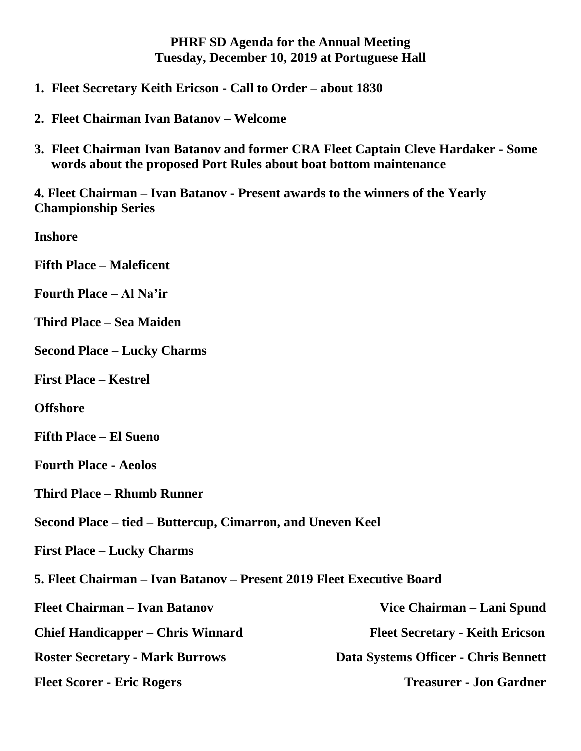## **PHRF SD Agenda for the Annual Meeting Tuesday, December 10, 2019 at Portuguese Hall**

- **1. Fleet Secretary Keith Ericson - Call to Order – about 1830**
- **2. Fleet Chairman Ivan Batanov – Welcome**
- **3. Fleet Chairman Ivan Batanov and former CRA Fleet Captain Cleve Hardaker - Some words about the proposed Port Rules about boat bottom maintenance**

**4. Fleet Chairman – Ivan Batanov - Present awards to the winners of the Yearly Championship Series**

**Inshore** 

**Fifth Place – Maleficent** 

- **Fourth Place – Al Na'ir**
- **Third Place – Sea Maiden**
- **Second Place – Lucky Charms**
- **First Place – Kestrel**

**Offshore**

- **Fifth Place – El Sueno**
- **Fourth Place - Aeolos**
- **Third Place – Rhumb Runner**
- **Second Place – tied – Buttercup, Cimarron, and Uneven Keel**
- **First Place – Lucky Charms**
- **5. Fleet Chairman – Ivan Batanov – Present 2019 Fleet Executive Board**

| <b>Fleet Chairman – Ivan Batanov</b>     | Vice Chairman – Lani Spund             |
|------------------------------------------|----------------------------------------|
| <b>Chief Handicapper – Chris Winnard</b> | <b>Fleet Secretary - Keith Ericson</b> |
| <b>Roster Secretary - Mark Burrows</b>   | Data Systems Officer - Chris Bennett   |
| <b>Fleet Scorer - Eric Rogers</b>        | <b>Treasurer - Jon Gardner</b>         |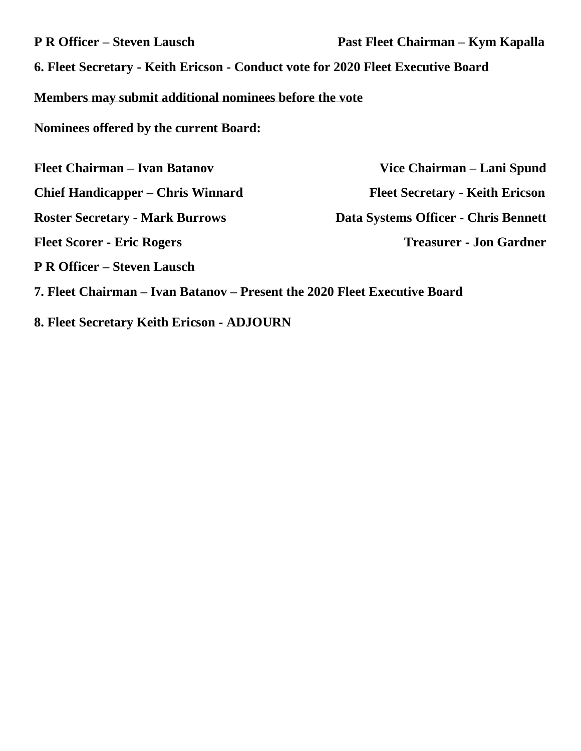| <b>P R Officer – Steven Lausch</b>                                               | Past Fleet Chairman – Kym Kapalla      |  |  |  |
|----------------------------------------------------------------------------------|----------------------------------------|--|--|--|
| 6. Fleet Secretary - Keith Ericson - Conduct vote for 2020 Fleet Executive Board |                                        |  |  |  |
| Members may submit additional nominees before the vote                           |                                        |  |  |  |
| Nominees offered by the current Board:                                           |                                        |  |  |  |
| <b>Fleet Chairman – Ivan Batanov</b>                                             | Vice Chairman – Lani Spund             |  |  |  |
| <b>Chief Handicapper – Chris Winnard</b>                                         | <b>Fleet Secretary - Keith Ericson</b> |  |  |  |
| <b>Roster Secretary - Mark Burrows</b>                                           | Data Systems Officer - Chris Bennett   |  |  |  |
| <b>Fleet Scorer - Eric Rogers</b>                                                | <b>Treasurer - Jon Gardner</b>         |  |  |  |
| <b>P R Officer – Steven Lausch</b>                                               |                                        |  |  |  |
| 7. Fleet Chairman – Ivan Batanov – Present the 2020 Fleet Executive Board        |                                        |  |  |  |

**8. Fleet Secretary Keith Ericson - ADJOURN**